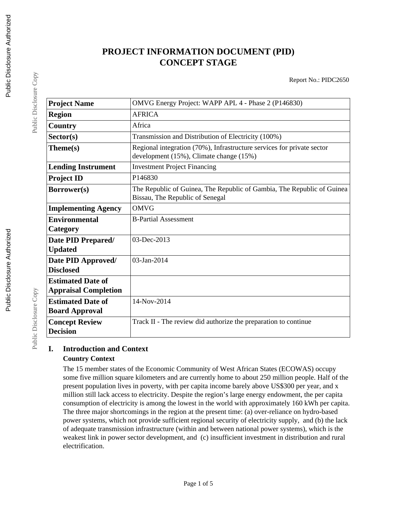# **PROJECT INFORMATION DOCUMENT (PID) CONCEPT STAGE**

Report No.: PIDC2650

| <b>Project Name</b>         | OMVG Energy Project: WAPP APL 4 - Phase 2 (P146830)                                                               |
|-----------------------------|-------------------------------------------------------------------------------------------------------------------|
| <b>Region</b>               | <b>AFRICA</b>                                                                                                     |
| Country                     | Africa                                                                                                            |
| Sector(s)                   | Transmission and Distribution of Electricity (100%)                                                               |
| Theme(s)                    | Regional integration (70%), Infrastructure services for private sector<br>development (15%), Climate change (15%) |
| <b>Lending Instrument</b>   | <b>Investment Project Financing</b>                                                                               |
| <b>Project ID</b>           | P146830                                                                                                           |
| Borrower(s)                 | The Republic of Guinea, The Republic of Gambia, The Republic of Guinea<br>Bissau, The Republic of Senegal         |
| <b>Implementing Agency</b>  | <b>OMVG</b>                                                                                                       |
| <b>Environmental</b>        | <b>B-Partial Assessment</b>                                                                                       |
| Category                    |                                                                                                                   |
| Date PID Prepared/          | $03$ -Dec-2013                                                                                                    |
| <b>Updated</b>              |                                                                                                                   |
| Date PID Approved/          | 03-Jan-2014                                                                                                       |
| <b>Disclosed</b>            |                                                                                                                   |
| <b>Estimated Date of</b>    |                                                                                                                   |
| <b>Appraisal Completion</b> |                                                                                                                   |
| <b>Estimated Date of</b>    | 14-Nov-2014                                                                                                       |
| <b>Board Approval</b>       |                                                                                                                   |
| <b>Concept Review</b>       | Track II - The review did authorize the preparation to continue                                                   |
| <b>Decision</b>             |                                                                                                                   |

## **I. Introduction and Context Country Context**

The 15 member states of the Economic Community of West African States (ECOWAS) occupy some five million square kilometers and are currently home to about 250 million people. Half of the present population lives in poverty, with per capita income barely above US\$300 per year, and x million still lack access to electricity. Despite the region's large energy endowment, the per capita consumption of electricity is among the lowest in the world with approximately 160 kWh per capita. The three major shortcomings in the region at the present time: (a) over-reliance on hydro-based power systems, which not provide sufficient regional security of electricity supply, and (b) the lack of adequate transmission infrastructure (within and between national power systems), which is the weakest link in power sector development, and (c) insufficient investment in distribution and rural electrification.

Public Disclosure Copy

Public Disclosure Copy

Public Disclosure Copy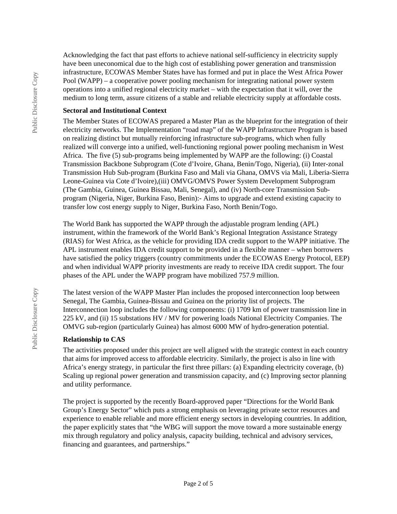Acknowledging the fact that past efforts to achieve national self-sufficiency in electricity supply have been uneconomical due to the high cost of establishing power generation and transmission infrastructure, ECOWAS Member States have has formed and put in place the West Africa Power Pool (WAPP) – a cooperative power pooling mechanism for integrating national power system operations into a unified regional electricity market – with the expectation that it will, over the medium to long term, assure citizens of a stable and reliable electricity supply at affordable costs.

#### **Sectoral and Institutional Context**

The Member States of ECOWAS prepared a Master Plan as the blueprint for the integration of their electricity networks. The Implementation "road map" of the WAPP Infrastructure Program is based on realizing distinct but mutually reinforcing infrastructure sub-programs, which when fully realized will converge into a unified, well-functioning regional power pooling mechanism in West Africa. The five (5) sub-programs being implemented by WAPP are the following: (i) Coastal Transmission Backbone Subprogram (Cote d'Ivoire, Ghana, Benin/Togo, Nigeria), (ii) Inter-zonal Transmission Hub Sub-program (Burkina Faso and Mali via Ghana, OMVS via Mali, Liberia-Sierra Leone-Guinea via Cote d'Ivoire),(iii) OMVG/OMVS Power System Development Subprogram (The Gambia, Guinea, Guinea Bissau, Mali, Senegal), and (iv) North-core Transmission Subprogram (Nigeria, Niger, Burkina Faso, Benin):- Aims to upgrade and extend existing capacity to transfer low cost energy supply to Niger, Burkina Faso, North Benin/Togo.

The World Bank has supported the WAPP through the adjustable program lending (APL) instrument, within the framework of the World Bank's Regional Integration Assistance Strategy (RIAS) for West Africa, as the vehicle for providing IDA credit support to the WAPP initiative. The APL instrument enables IDA credit support to be provided in a flexible manner – when borrowers have satisfied the policy triggers (country commitments under the ECOWAS Energy Protocol, EEP) and when individual WAPP priority investments are ready to receive IDA credit support. The four phases of the APL under the WAPP program have mobilized 757.9 million.

The latest version of the WAPP Master Plan includes the proposed interconnection loop between Senegal, The Gambia, Guinea-Bissau and Guinea on the priority list of projects. The Interconnection loop includes the following components: (i) 1709 km of power transmission line in 225 kV, and (ii) 15 substations HV / MV for powering loads National Electricity Companies. The OMVG sub-region (particularly Guinea) has almost 6000 MW of hydro-generation potential.

#### **Relationship to CAS**

The activities proposed under this project are well aligned with the strategic context in each country that aims for improved access to affordable electricity. Similarly, the project is also in line with Africa's energy strategy, in particular the first three pillars: (a) Expanding electricity coverage, (b) Scaling up regional power generation and transmission capacity, and (c) Improving sector planning and utility performance.

The project is supported by the recently Board-approved paper "Directions for the World Bank Group's Energy Sector" which puts a strong emphasis on leveraging private sector resources and experience to enable reliable and more efficient energy sectors in developing countries. In addition, the paper explicitly states that "the WBG will support the move toward a more sustainable energy mix through regulatory and policy analysis, capacity building, technical and advisory services, financing and guarantees, and partnerships."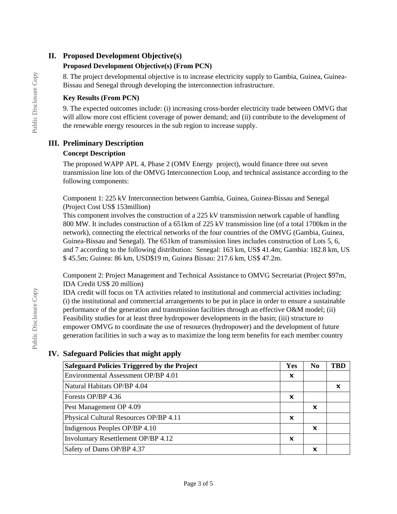## **II. Proposed Development Objective(s)**

## **Proposed Development Objective(s) (From PCN)**

8. The project developmental objective is to increase electricity supply to Gambia, Guinea, Guinea-Bissau and Senegal through developing the interconnection infrastructure.

## **Key Results (From PCN)**

9. The expected outcomes include: (i) increasing cross-border electricity trade between OMVG that will allow more cost efficient coverage of power demand; and (ii) contribute to the development of the renewable energy resources in the sub region to increase supply.

## **III. Preliminary Description**

## **Concept Description**

The proposed WAPP APL 4, Phase 2 (OMV Energy project), would finance three out seven transmission line lots of the OMVG Interconnection Loop, and technical assistance according to the following components:

Component 1: 225 kV Interconnection between Gambia, Guinea, Guinea-Bissau and Senegal (Project Cost US\$ 153million)

This component involves the construction of a 225 kV transmission network capable of handling 800 MW. It includes construction of a 651km of 225 kV transmission line (of a total 1700km in the network), connecting the electrical networks of the four countries of the OMVG (Gambia, Guinea, Guinea-Bissau and Senegal). The 651km of transmission lines includes construction of Lots 5, 6, and 7 according to the following distribution: Senegal: 163 km, US\$ 41.4m; Gambia: 182.8 km, US \$ 45.5m; Guinea: 86 km, USD\$19 m, Guinea Bissau: 217.6 km, US\$ 47.2m.

Component 2: Project Management and Technical Assistance to OMVG Secretariat (Project \$97m, IDA Credit US\$ 20 million)

IDA credit will focus on TA activities related to institutional and commercial activities including: (i) the institutional and commercial arrangements to be put in place in order to ensure a sustainable performance of the generation and transmission facilities through an effective O&M model; (ii) Feasibility studies for at least three hydropower developments in the basin; (iii) structure to empower OMVG to coordinate the use of resources (hydropower) and the development of future generation facilities in such a way as to maximize the long term benefits for each member country

# **Safeguard Policies Triggered by the Project Ves No TBD** Environmental Assessment OP/BP 4.01 ✖ Natural Habitats OP/BP 4.04 ✖ Forests OP/BP 4.36  $\vert x \vert$ Pest Management OP 4.09  $\vert \times$ Physical Cultural Resources OP/BP 4.11 ✖ Indigenous Peoples OP/BP 4.10  $\vert \times \vert$ Involuntary Resettlement OP/BP 4.12 ✖ Safety of Dams OP/BP 4.37  $\vert \times$

## **IV. Safeguard Policies that might apply**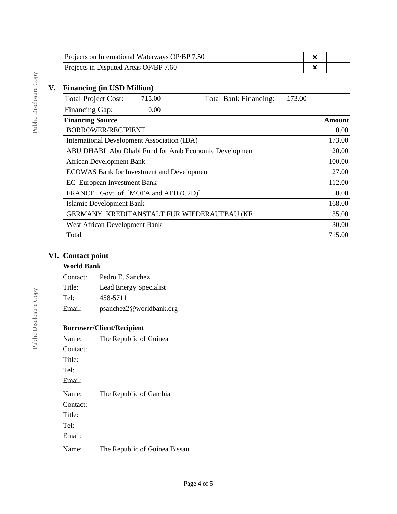| Projects on International Waterways OP/BP 7.50 |  |  |
|------------------------------------------------|--|--|
| Projects in Disputed Areas OP/BP 7.60          |  |  |

# **V. Financing (in USD Million)**

| <b>Total Project Cost:</b>                            | 715.00 | <b>Total Bank Financing:</b> | 173.00 |        |
|-------------------------------------------------------|--------|------------------------------|--------|--------|
| <b>Financing Gap:</b>                                 | 0.00   |                              |        |        |
| <b>Financing Source</b>                               |        |                              |        | Amount |
| <b>BORROWER/RECIPIENT</b>                             |        |                              |        | 0.00   |
| International Development Association (IDA)           |        |                              |        | 173.00 |
| ABU DHABI Abu Dhabi Fund for Arab Economic Developmen |        |                              |        | 20.00  |
| <b>African Development Bank</b>                       |        |                              |        | 100.00 |
| <b>ECOWAS Bank for Investment and Development</b>     |        |                              |        | 27.00  |
| <b>EC</b> European Investment Bank                    |        |                              |        | 112.00 |
| FRANCE Govt. of [MOFA and AFD (C2D)]                  |        |                              |        | 50.00  |
| Islamic Development Bank                              |        |                              |        | 168.00 |
| GERMANY KREDITANSTALT FUR WIEDERAUFBAU (KF            |        |                              |        | 35.00  |
| West African Development Bank                         |        |                              |        | 30.00  |
| Total                                                 |        |                              |        | 715.00 |

## **VI. Contact point**

# **World Bank**

Contact: Pedro E. Sanchez

Title: Lead Energy Specialist

Tel: 458-5711

Email: psanchez2@worldbank.org

## **Borrower/Client/Recipient**

| Name:    | The Republic of Guinea        |
|----------|-------------------------------|
| Contact: |                               |
| Title:   |                               |
| Tel:     |                               |
| Email:   |                               |
| Name:    | The Republic of Gambia        |
| Contact: |                               |
| Title:   |                               |
| Tel:     |                               |
| Email:   |                               |
| Name:    | The Republic of Guinea Bissau |